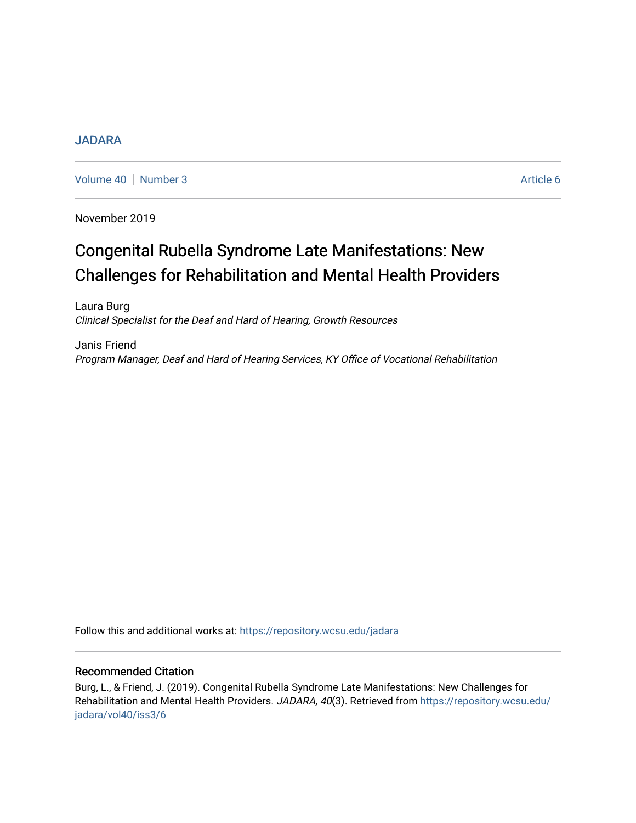## [JADARA](https://repository.wcsu.edu/jadara)

[Volume 40](https://repository.wcsu.edu/jadara/vol40) | [Number 3](https://repository.wcsu.edu/jadara/vol40/iss3) Article 6

November 2019

# Congenital Rubella Syndrome Late Manifestations: New Challenges for Rehabilitation and Mental Health Providers

Laura Burg Clinical Specialist for the Deaf and Hard of Hearing, Growth Resources

Janis Friend Program Manager, Deaf and Hard of Hearing Services, KY Office of Vocational Rehabilitation

Follow this and additional works at: [https://repository.wcsu.edu/jadara](https://repository.wcsu.edu/jadara?utm_source=repository.wcsu.edu%2Fjadara%2Fvol40%2Fiss3%2F6&utm_medium=PDF&utm_campaign=PDFCoverPages)

## Recommended Citation

Burg, L., & Friend, J. (2019). Congenital Rubella Syndrome Late Manifestations: New Challenges for Rehabilitation and Mental Health Providers. JADARA, 40(3). Retrieved from [https://repository.wcsu.edu/](https://repository.wcsu.edu/jadara/vol40/iss3/6?utm_source=repository.wcsu.edu%2Fjadara%2Fvol40%2Fiss3%2F6&utm_medium=PDF&utm_campaign=PDFCoverPages) [jadara/vol40/iss3/6](https://repository.wcsu.edu/jadara/vol40/iss3/6?utm_source=repository.wcsu.edu%2Fjadara%2Fvol40%2Fiss3%2F6&utm_medium=PDF&utm_campaign=PDFCoverPages)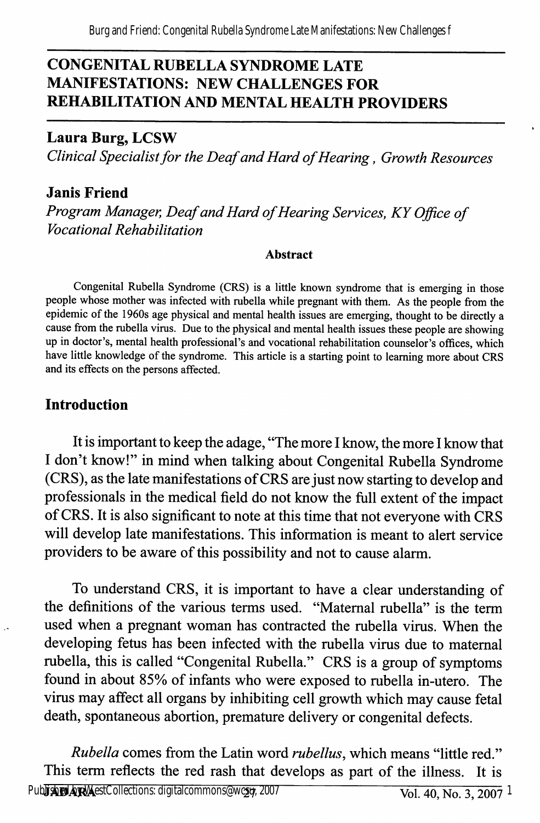# CONGENITAL RUBELLA SYNDROME LATE MANIFESTATIONS: NEW CHALLENGES FOR REHABILITATION AND MENTAL HEALTH PROVIDERS

## Laura Burg, LCSW

Clinical Specialist for the Deaf and Hard of Hearing, Growth Resources

## Janis Friend

Program Manager, Deaf and Hard of Hearing Services, KY Office of Vocational Rehabilitation

#### Abstract

Congenital Rubella Syndrome (CRS) is a little known syndrome that is emerging in those people whose mother was infected with rubella while pregnant with them. As the people from the epidemic of the 1960s age physical and mental health issues are emerging, thought to be directly a cause from the rubella virus. Due to the physical and mental health issues these people are showing up in doctor's, mental health professional's and vocational rehabilitation counselor's offices, which have little knowledge of the syndrome. This article is a starting point to learning more about CRS and its effects on the persons affected.

# Introduction

It is important to keep the adage, "The more I know, the more I know that I don't know!" in mind when talking about Congenital Rubella Syndrome (CRS), as the late manifestations of CRS are just now starting to develop and professionals in the medical field do not know the full extent of the impact of CRS. It is also significant to note at this time that not everyone with CRS will develop late manifestations. This information is meant to alert service providers to be aware of this possibility and not to cause alarm.

To understand CRS, it is important to have a clear understanding of the definitions of the various terms used. "Maternal rubella" is the term used when a pregnant woman has contracted the rubella virus. When the developing fetus has been infected with the rubella virus due to maternal rubella, this is called "Congenital Rubella." CRS is a group of symptoms found in about 85% of infants who were exposed to rubella in-utero. The virus may affect all organs by inhibiting cell growth which may cause fetal death, spontaneous abortion, premature delivery or congenital defects.

Rubella comes from the Latin word rubellus, which means "little red." This term reflects the red rash that develops as part of the illness. It is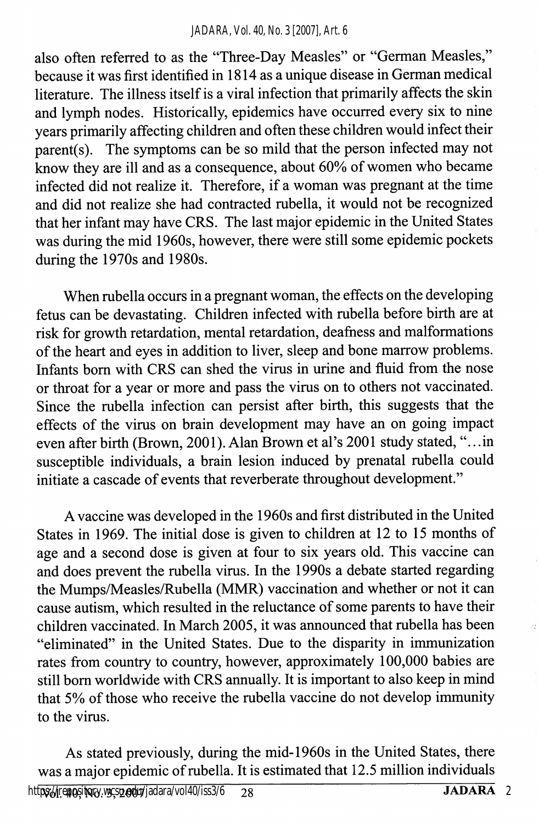#### *JADARA, Vol. 40, No. 3 [2007], Art. 6*

also often referred to as the "Three-Day Measles" or "German Measles," because it was first identified in 1814 as a unique disease in German medical literature. The illness itself is a viral infection that primarily affects the skin and lymph nodes. Historically, epidemics have occurred every six to nine years primarily affecting children and often these children would infect their parent(s). The symptoms can be so mild that the person infected may not know they are ill and as a consequence, about 60% of women who became infected did not realize it. Therefore, if a woman was pregnant at the time and did not realize she had contracted rubella, it would not be recognized that her infant may have CRS. The last major epidemic in the United States was during the mid 1960s, however, there were still some epidemic pockets during the 1970s and 1980s.

When rubella occurs in a pregnant woman, the effects on the developing fetus can be devastating. Children infected with rubella before birth are at risk for growth retardation, mental retardation, deafness and malformations of the heart and eyes in addition to liver, sleep and bone marrow problems. Infants bom with CRS can shed the virus in urine and fluid from the nose or throat for a year or more and pass the vims on to others not vaccinated. Since the mbella infection can persist after birth, this suggests that the effects of the vims on brain development may have an on going impact even after birth (Brown, 2001). Alan Brown et al's 2001 study stated,".. .in susceptible individuals, a brain lesion induced by prenatal mbella could initiate a cascade of events that reverberate throughout development."

A vaccine was developed in the 1960s and first distributed in the United States in 1969. The initial dose is given to children at 12 to 15 months of age and a second dose is given at four to six years old. This vaccine can and does prevent the mbella vims. In the 1990s a debate started regarding the Mumps/Measles/Rubella (MMR) vaccination and whether or not it can cause autism, which resulted in the reluctance of some parents to have their children vaccinated. In March 2005, it was announced that mbella has been "eliminated" in the United States. Due to the disparity in immunization rates from country to country, however, approximately 100,000 babies are still bom worldwide with CRS annually. It is important to also keep in mind that 5% of those who receive the mbella vaccine do not develop immunity to the vims.

As stated previously, during the mid-1960s in the United States, there was a major epidemic of mbella. It is estimated that 12.5 million individuals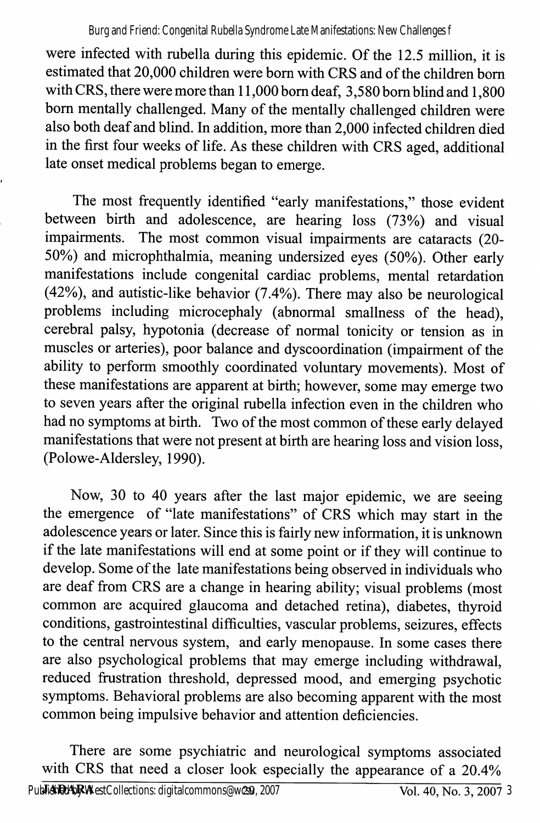were infected with rubella during this epidemic. Of the 12.5 million, it is estimated that 20,000 children were bom with CRS and of the children bom with CRS, there were more than 11,000 bom deaf, 3,580 bora blind and 1,800 bom mentally challenged. Many of the mentally challenged children were also both deaf and blind. In addition, more than 2,000 infected children died in the first four weeks of life. As these children with CRS aged, additional late onset medical problems began to emerge.

The most frequently identified "early manifestations," those evident between birth and adolescence, are hearing loss (73%) and visual impairments. The most common visual impairments are cataracts (20- 50%) and microphthalmia, meaning undersized eyes (50%). Other early manifestations include congenital cardiac problems, mental retardation (42%), and autistic-like behavior (7.4%). There may also be neurological problems including microcephaly (abnormal smallness of the head), cerebral palsy, hypotonia (decrease of normal tonicity or tension as in muscles or arteries), poor balance and dyscoordination (impairment of the ability to perform smoothly coordinated voluntary movements). Most of these manifestations are apparent at birth; however, some may emerge two to seven years after the original mbella infection even in the children who had no symptoms at birth. Two of the most common of these early delayed manifestations that were not present at birth are hearing loss and vision loss, (Polowe-Aldersley, 1990).

Now, 30 to 40 years after the last major epidemic, we are seeing the emergence of "late manifestations" of CRS which may start in the adolescence years or later. Since this is fairly new information, it is unknown if the late manifestations will end at some point or if they will continue to develop. Some of the late manifestations being observed in individuals who are deaf from CRS are a change in hearing ability; visual problems (most common are acquired glaucoma and detached retina), diabetes, thyroid conditions, gastrointestinal difficulties, vascular problems, seizures, effects to the central nervous system, and early menopause. In some cases there are also psychological problems that may emerge including withdrawal, reduced fmstration threshold, depressed mood, and emerging psychotic symptoms. Behavioral problems are also becoming apparent with the most common being impulsive behavior and attention deficiencies.

There are some psychiatric and neurological symptoms associated with CRS that need a closer look especially the appearance of a 20.4%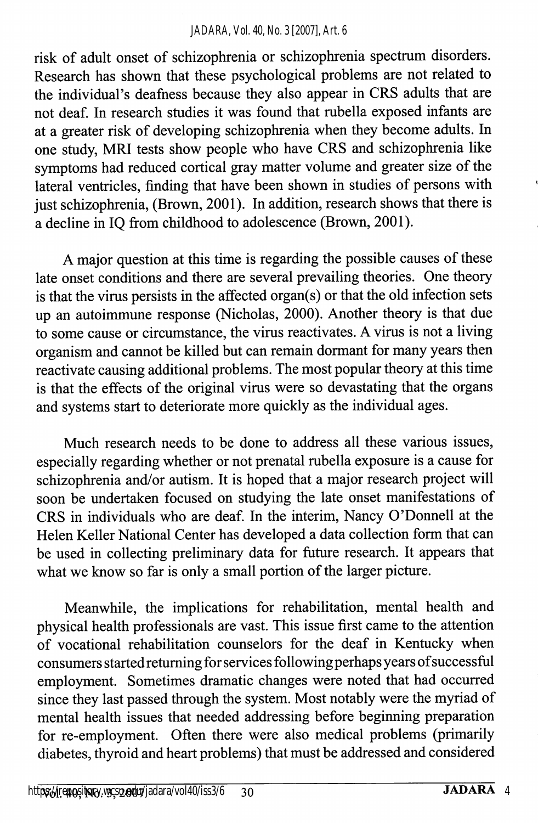#### *JADARA, Vol. 40, No. 3 [2007], Art. 6*

risk of adult onset of schizophrenia or schizophrenia spectrum disorders. Research has shown that these psychological problems are not related to the individual's deafness because they also appear in CRS adults that are not deaf. In research studies it was found that rubella exposed infants are at a greater risk of developing schizophrenia when they become adults. In one study, MRI tests show people who have CRS and schizophrenia like symptoms had reduced cortical gray matter volume and greater size of the lateral ventricles, finding that have been shown in studies of persons with just schizophrenia, (Brown, 2001). In addition, research shows that there is a decline in IQ from childhood to adolescence (Brown, 2001).

A major question at this time is regarding the possible causes of these late onset conditions and there are several prevailing theories. One theory is that the virus persists in the affected organ(s) or that the old infection sets up an autoimmune response (Nicholas, 2000). Another theory is that due to some cause or circumstance, the virus reactivates. A virus is not a living organism and cannot be killed but can remain dormant for many years then reactivate causing additional problems. The most popular theory at this time is that the effects of the original virus were so devastating that the organs and systems start to deteriorate more quickly as the individual ages.

Much research needs to be done to address all these various issues, especially regarding whether or not prenatal rubella exposure is a cause for schizophrenia and/or autism. It is hoped that a major research project will soon be undertaken focused on studying the late onset manifestations of CRS in individuals who are deaf. In the interim, Nancy O'Donnell at the Helen Keller National Center has developed a data collection form that can be used in collecting preliminary data for future research. It appears that what we know so far is only a small portion of the larger picture.

Meanwhile, the implications for rehabilitation, mental health and physical health professionals are vast. This issue first came to the attention of vocational rehabilitation counselors for the deaf in Kentucky when consumers started returning for services following perhaps years ofsuccessful employment. Sometimes dramatic changes were noted that had occurred since they last passed through the system. Most notably were the myriad of mental health issues that needed addressing before beginning preparation for re-employment. Often there were also medical problems (primarily diabetes, thyroid and heart problems) that must be addressed and considered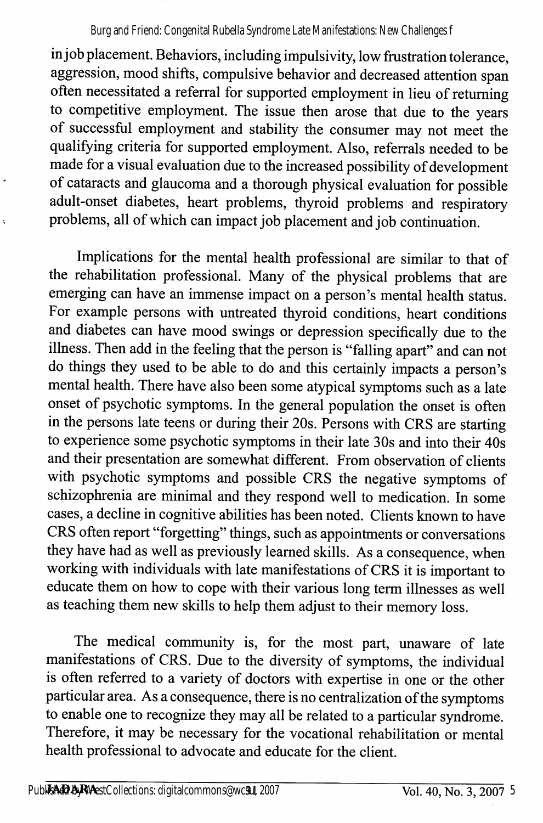#### Burg and Friend: Congenital Rubella Syndrome Late Manifestations: New Challenges f

in job placement. Behaviors, including impulsivity, low frustration tolerance, aggression, mood shifts, compulsive behavior and decreased attention span often necessitated a referral for supported employment in lieu of returning to competitive employment. The issue then arose that due to the years of successful employment and stability the consumer may not meet the qualifying criteria for supported employment. Also, referrals needed to be made for a visual evaluation due to the increased possibility of development of cataracts and glaucoma and a thorough physical evaluation for possible adult-onset diabetes, heart problems, thyroid problems and respiratory problems, all of which can impact job placement and job continuation.

Implications for the mental health professional are similar to that of the rehabilitation professional. Many of the physical problems that are emerging can have an immense impact on a person's mental health status. For example persons with untreated thyroid conditions, heart conditions and diabetes can have mood swings or depression specifically due to the illness. Then add in the feeling that the person is "falling apart" and can not do things they used to be able to do and this certainly impacts a person's mental health. There have also been some atypical symptoms such as a late onset of psychotic symptoms. In the general population the onset is often in the persons late teens or during their 20s. Persons with CRS are starting to experience some psychotic symptoms in their late 30s and into their 40s and their presentation are somewhat different. From observation of clients with psychotic symptoms and possible CRS the negative symptoms of schizophrenia are minimal and they respond well to medication. In some cases, a decline in cognitive abilities has been noted. Clients known to have CRS often report "forgetting" things, such as appointments or conversations they have had as well as previously learned skills. As a consequence, when working with individuals with late manifestations of CRS it is important to educate them on how to cope with their various long term illnesses as well as teaching them new skills to help them adjust to their memory loss.

The medical community is, for the most part, unaware of late manifestations of CRS. Due to the diversity of symptoms, the individual is often referred to a variety of doctors with expertise in one or the other particular area. As a consequence, there is no centralization of the symptoms to enable one to recognize they may all be related to a particular syndrome. Therefore, it may be necessary for the vocational rehabilitation or mental health professional to advocate and educate for the client.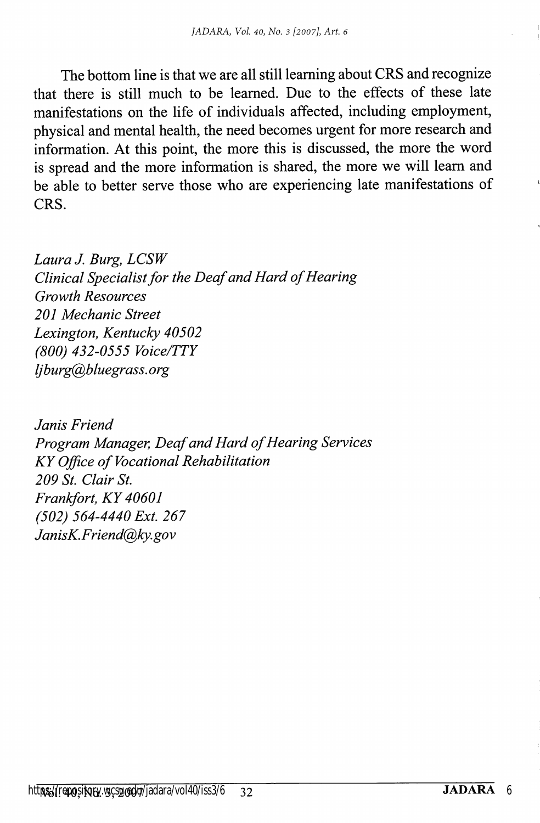The bottom line is that we are all still learning about CRS and recognize that there is still much to be learned. Due to the effects of these late manifestations on the life of individuals affected, including employment, physical and mental health, the need becomes urgent for more research and information. At this point, the more this is discussed, the more the word is spread and the more information is shared, the more we will leam and be able to better serve those who are experiencing late manifestations of CRS.

Laura J. Burg, LCSW Clinical Specialist for the Deaf and Hard of Hearing Growth Resources 201 Mechanic Street Lexington, Kentucky 40502 (800) 432-0555 Voice/TTY ljburg@bluegrass. org

Janis Friend Program Manager, Deaf and Hard of Hearing Services KY Office of Vocational Rehabilitation 209 St. Clair St. Frankfort, KY 40601 (502) 564-4440 Ext. 267 JanisK.Friend@ky.gov